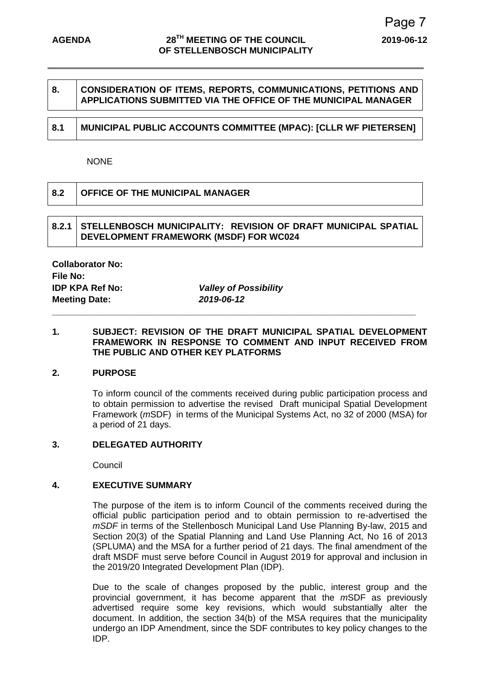# **8. CONSIDERATION OF ITEMS, REPORTS, COMMUNICATIONS, PETITIONS AND APPLICATIONS SUBMITTED VIA THE OFFICE OF THE MUNICIPAL MANAGER**

# **8.1 MUNICIPAL PUBLIC ACCOUNTS COMMITTEE (MPAC): [CLLR WF PIETERSEN]**

### NONE

| 8.2 | <b>OFFICE OF THE MUNICIPAL MANAGER</b> |
|-----|----------------------------------------|
|     |                                        |

## **8.2.1 STELLENBOSCH MUNICIPALITY: REVISION OF DRAFT MUNICIPAL SPATIAL DEVELOPMENT FRAMEWORK (MSDF) FOR WC024**

**Collaborator No: File No: Meeting Date:** *2019-06-12*

**IDP KPA Ref No:** *Valley of Possibility*

**\_\_\_\_\_\_\_\_\_\_\_\_\_\_\_\_\_\_\_\_\_\_\_\_\_\_\_\_\_\_\_\_\_\_\_\_\_\_\_\_\_\_\_\_\_\_\_\_\_\_\_\_\_\_\_\_\_\_\_\_\_\_\_\_\_\_\_\_\_\_\_\_\_** 

### **1. SUBJECT: REVISION OF THE DRAFT MUNICIPAL SPATIAL DEVELOPMENT FRAMEWORK IN RESPONSE TO COMMENT AND INPUT RECEIVED FROM THE PUBLIC AND OTHER KEY PLATFORMS**

### **2. PURPOSE**

To inform council of the comments received during public participation process and to obtain permission to advertise the revised Draft municipal Spatial Development Framework (*m*SDF) in terms of the Municipal Systems Act, no 32 of 2000 (MSA) for a period of 21 days.

### **3. DELEGATED AUTHORITY**

**Council** 

# **4. EXECUTIVE SUMMARY**

The purpose of the item is to inform Council of the comments received during the official public participation period and to obtain permission to re-advertised the *mSDF* in terms of the Stellenbosch Municipal Land Use Planning By-law, 2015 and Section 20(3) of the Spatial Planning and Land Use Planning Act, No 16 of 2013 (SPLUMA) and the MSA for a further period of 21 days. The final amendment of the draft MSDF must serve before Council in August 2019 for approval and inclusion in the 2019/20 Integrated Development Plan (IDP).

Due to the scale of changes proposed by the public, interest group and the provincial government, it has become apparent that the *m*SDF as previously advertised require some key revisions, which would substantially alter the document. In addition, the section 34(b) of the MSA requires that the municipality undergo an IDP Amendment, since the SDF contributes to key policy changes to the IDP.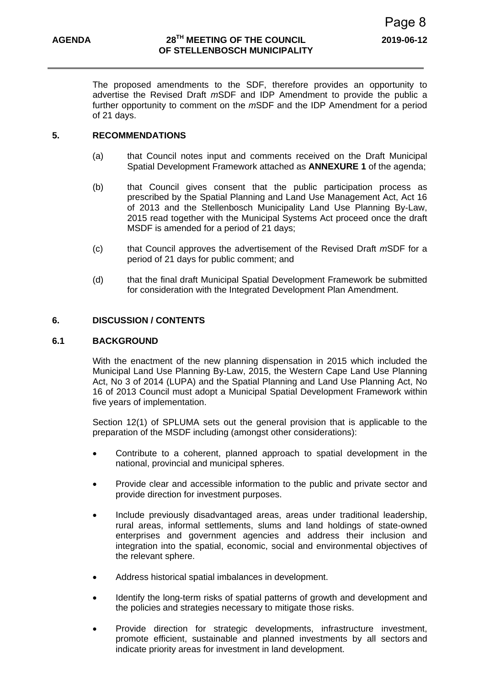The proposed amendments to the SDF, therefore provides an opportunity to advertise the Revised Draft *m*SDF and IDP Amendment to provide the public a further opportunity to comment on the *m*SDF and the IDP Amendment for a period of 21 days.

### **5. RECOMMENDATIONS**

- (a) that Council notes input and comments received on the Draft Municipal Spatial Development Framework attached as **ANNEXURE 1** of the agenda;
- (b) that Council gives consent that the public participation process as prescribed by the Spatial Planning and Land Use Management Act, Act 16 of 2013 and the Stellenbosch Municipality Land Use Planning By-Law, 2015 read together with the Municipal Systems Act proceed once the draft MSDF is amended for a period of 21 days;
- (c) that Council approves the advertisement of the Revised Draft *m*SDF for a period of 21 days for public comment; and
- (d) that the final draft Municipal Spatial Development Framework be submitted for consideration with the Integrated Development Plan Amendment.

## **6. DISCUSSION / CONTENTS**

#### **6.1 BACKGROUND**

With the enactment of the new planning dispensation in 2015 which included the Municipal Land Use Planning By-Law, 2015, the Western Cape Land Use Planning Act, No 3 of 2014 (LUPA) and the Spatial Planning and Land Use Planning Act, No 16 of 2013 Council must adopt a Municipal Spatial Development Framework within five years of implementation.

Section 12(1) of SPLUMA sets out the general provision that is applicable to the preparation of the MSDF including (amongst other considerations):

- Contribute to a coherent, planned approach to spatial development in the national, provincial and municipal spheres.
- Provide clear and accessible information to the public and private sector and provide direction for investment purposes.
- Include previously disadvantaged areas, areas under traditional leadership, rural areas, informal settlements, slums and land holdings of state-owned enterprises and government agencies and address their inclusion and integration into the spatial, economic, social and environmental objectives of the relevant sphere.
- Address historical spatial imbalances in development.
- Identify the long-term risks of spatial patterns of growth and development and the policies and strategies necessary to mitigate those risks.
- Provide direction for strategic developments, infrastructure investment, promote efficient, sustainable and planned investments by all sectors and indicate priority areas for investment in land development.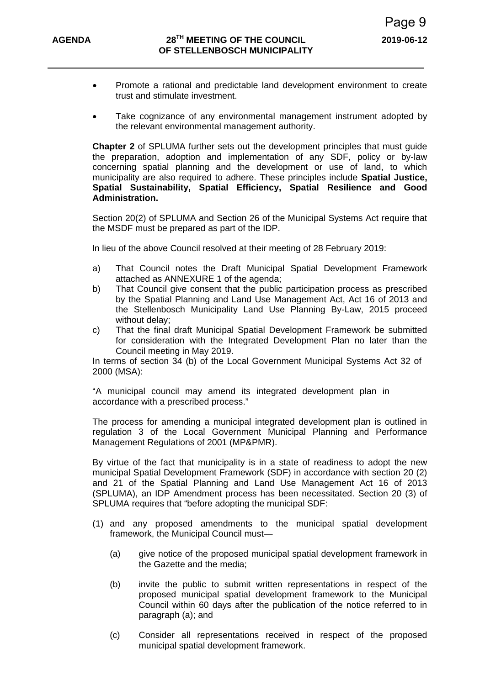- Promote a rational and predictable land development environment to create trust and stimulate investment.
- Take cognizance of any environmental management instrument adopted by the relevant environmental management authority.

**Chapter 2** of SPLUMA further sets out the development principles that must guide the preparation, adoption and implementation of any SDF, policy or by-law concerning spatial planning and the development or use of land, to which municipality are also required to adhere. These principles include **Spatial Justice, Spatial Sustainability, Spatial Efficiency, Spatial Resilience and Good Administration.**

Section 20(2) of SPLUMA and Section 26 of the Municipal Systems Act require that the MSDF must be prepared as part of the IDP.

In lieu of the above Council resolved at their meeting of 28 February 2019:

- a) That Council notes the Draft Municipal Spatial Development Framework attached as ANNEXURE 1 of the agenda;
- b) That Council give consent that the public participation process as prescribed by the Spatial Planning and Land Use Management Act, Act 16 of 2013 and the Stellenbosch Municipality Land Use Planning By-Law, 2015 proceed without delay;
- c) That the final draft Municipal Spatial Development Framework be submitted for consideration with the Integrated Development Plan no later than the Council meeting in May 2019.

In terms of section 34 (b) of the Local Government Municipal Systems Act 32 of 2000 (MSA):

"A municipal council may amend its integrated development plan in accordance with a prescribed process."

The process for amending a municipal integrated development plan is outlined in regulation 3 of the Local Government Municipal Planning and Performance Management Regulations of 2001 (MP&PMR).

By virtue of the fact that municipality is in a state of readiness to adopt the new municipal Spatial Development Framework (SDF) in accordance with section 20 (2) and 21 of the Spatial Planning and Land Use Management Act 16 of 2013 (SPLUMA), an IDP Amendment process has been necessitated. Section 20 (3) of SPLUMA requires that "before adopting the municipal SDF:

- (1) and any proposed amendments to the municipal spatial development framework, the Municipal Council must—
	- (a) give notice of the proposed municipal spatial development framework in the Gazette and the media;
	- (b) invite the public to submit written representations in respect of the proposed municipal spatial development framework to the Municipal Council within 60 days after the publication of the notice referred to in paragraph (a); and
	- (c) Consider all representations received in respect of the proposed municipal spatial development framework.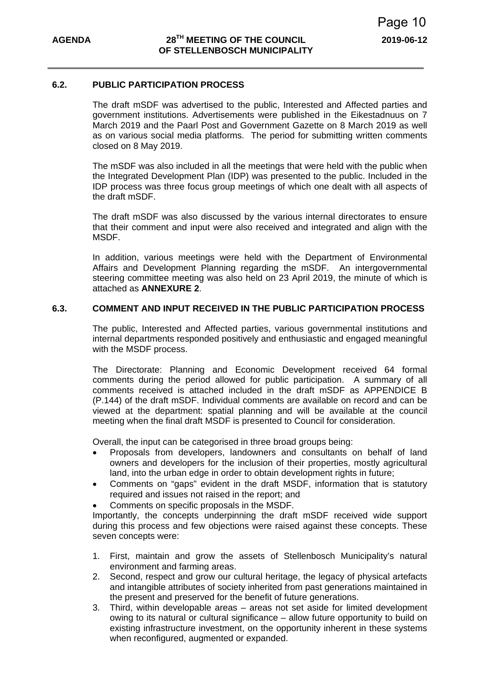### **6.2. PUBLIC PARTICIPATION PROCESS**

The draft mSDF was advertised to the public, Interested and Affected parties and government institutions. Advertisements were published in the Eikestadnuus on 7 March 2019 and the Paarl Post and Government Gazette on 8 March 2019 as well as on various social media platforms. The period for submitting written comments closed on 8 May 2019.

The mSDF was also included in all the meetings that were held with the public when the Integrated Development Plan (IDP) was presented to the public. Included in the IDP process was three focus group meetings of which one dealt with all aspects of the draft mSDF.

The draft mSDF was also discussed by the various internal directorates to ensure that their comment and input were also received and integrated and align with the MSDF.

In addition, various meetings were held with the Department of Environmental Affairs and Development Planning regarding the mSDF. An intergovernmental steering committee meeting was also held on 23 April 2019, the minute of which is attached as **ANNEXURE 2**.

## **6.3. COMMENT AND INPUT RECEIVED IN THE PUBLIC PARTICIPATION PROCESS**

The public, Interested and Affected parties, various governmental institutions and internal departments responded positively and enthusiastic and engaged meaningful with the MSDF process.

The Directorate: Planning and Economic Development received 64 formal comments during the period allowed for public participation. A summary of all comments received is attached included in the draft mSDF as APPENDICE B (P.144) of the draft mSDF. Individual comments are available on record and can be viewed at the department: spatial planning and will be available at the council meeting when the final draft MSDF is presented to Council for consideration.

Overall, the input can be categorised in three broad groups being:

- Proposals from developers, landowners and consultants on behalf of land owners and developers for the inclusion of their properties, mostly agricultural land, into the urban edge in order to obtain development rights in future;
- Comments on "gaps" evident in the draft MSDF, information that is statutory required and issues not raised in the report; and
- Comments on specific proposals in the MSDF.

Importantly, the concepts underpinning the draft mSDF received wide support during this process and few objections were raised against these concepts. These seven concepts were:

- 1. First, maintain and grow the assets of Stellenbosch Municipality's natural environment and farming areas.
- 2. Second, respect and grow our cultural heritage, the legacy of physical artefacts and intangible attributes of society inherited from past generations maintained in the present and preserved for the benefit of future generations.
- 3. Third, within developable areas areas not set aside for limited development owing to its natural or cultural significance – allow future opportunity to build on existing infrastructure investment, on the opportunity inherent in these systems when reconfigured, augmented or expanded.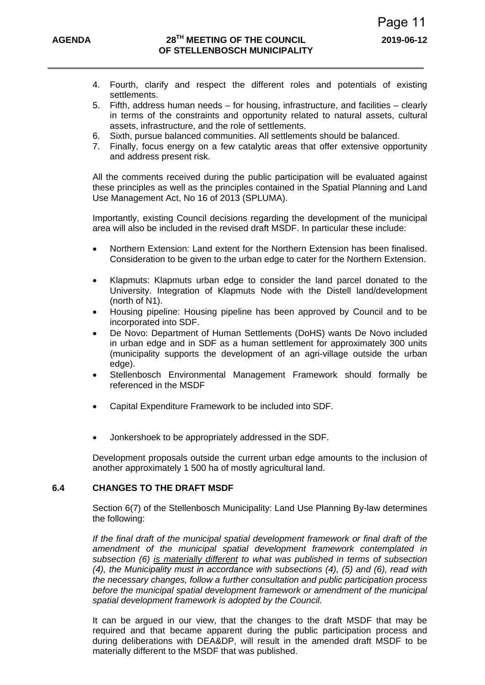- 4. Fourth, clarify and respect the different roles and potentials of existing settlements.
- 5. Fifth, address human needs for housing, infrastructure, and facilities clearly in terms of the constraints and opportunity related to natural assets, cultural assets, infrastructure, and the role of settlements.
- 6. Sixth, pursue balanced communities. All settlements should be balanced.
- 7. Finally, focus energy on a few catalytic areas that offer extensive opportunity and address present risk.

All the comments received during the public participation will be evaluated against these principles as well as the principles contained in the Spatial Planning and Land Use Management Act, No 16 of 2013 (SPLUMA).

Importantly, existing Council decisions regarding the development of the municipal area will also be included in the revised draft MSDF. In particular these include:

- Northern Extension: Land extent for the Northern Extension has been finalised. Consideration to be given to the urban edge to cater for the Northern Extension.
- Klapmuts: Klapmuts urban edge to consider the land parcel donated to the University. Integration of Klapmuts Node with the Distell land/development (north of N1).
- Housing pipeline: Housing pipeline has been approved by Council and to be incorporated into SDF.
- De Novo: Department of Human Settlements (DoHS) wants De Novo included in urban edge and in SDF as a human settlement for approximately 300 units (municipality supports the development of an agri-village outside the urban edge).
- Stellenbosch Environmental Management Framework should formally be referenced in the MSDF
- Capital Expenditure Framework to be included into SDF.
- Jonkershoek to be appropriately addressed in the SDF.

Development proposals outside the current urban edge amounts to the inclusion of another approximately 1 500 ha of mostly agricultural land.

# **6.4 CHANGES TO THE DRAFT MSDF**

 Section 6(7) of the Stellenbosch Municipality: Land Use Planning By-law determines the following:

*If the final draft of the municipal spatial development framework or final draft of the amendment of the municipal spatial development framework contemplated in subsection (6) is materially different to what was published in terms of subsection (4), the Municipality must in accordance with subsections (4), (5) and (6), read with the necessary changes, follow a further consultation and public participation process before the municipal spatial development framework or amendment of the municipal spatial development framework is adopted by the Council.* 

 It can be argued in our view, that the changes to the draft MSDF that may be required and that became apparent during the public participation process and during deliberations with DEA&DP, will result in the amended draft MSDF to be materially different to the MSDF that was published.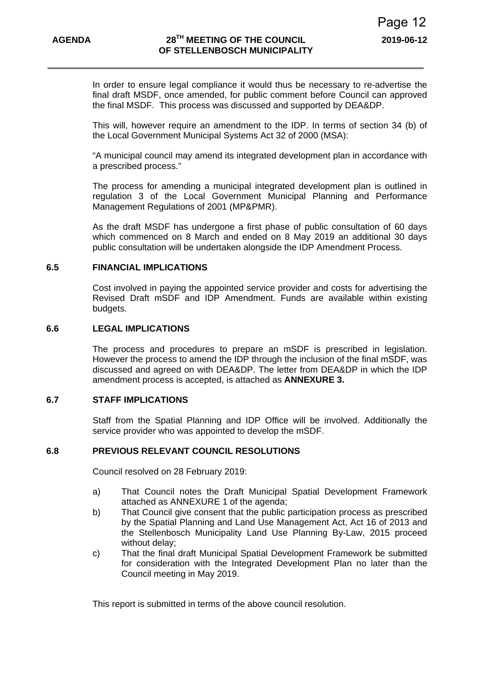In order to ensure legal compliance it would thus be necessary to re-advertise the final draft MSDF, once amended, for public comment before Council can approved the final MSDF. This process was discussed and supported by DEA&DP.

This will, however require an amendment to the IDP. In terms of section 34 (b) of the Local Government Municipal Systems Act 32 of 2000 (MSA):

"A municipal council may amend its integrated development plan in accordance with a prescribed process."

The process for amending a municipal integrated development plan is outlined in regulation 3 of the Local Government Municipal Planning and Performance Management Regulations of 2001 (MP&PMR).

As the draft MSDF has undergone a first phase of public consultation of 60 days which commenced on 8 March and ended on 8 May 2019 an additional 30 days public consultation will be undertaken alongside the IDP Amendment Process.

#### **6.5 FINANCIAL IMPLICATIONS**

Cost involved in paying the appointed service provider and costs for advertising the Revised Draft mSDF and IDP Amendment. Funds are available within existing budgets.

#### **6.6 LEGAL IMPLICATIONS**

The process and procedures to prepare an mSDF is prescribed in legislation. However the process to amend the IDP through the inclusion of the final mSDF, was discussed and agreed on with DEA&DP. The letter from DEA&DP in which the IDP amendment process is accepted, is attached as **ANNEXURE 3.**

### **6.7 STAFF IMPLICATIONS**

Staff from the Spatial Planning and IDP Office will be involved. Additionally the service provider who was appointed to develop the mSDF.

# **6.8 PREVIOUS RELEVANT COUNCIL RESOLUTIONS**

Council resolved on 28 February 2019:

- a) That Council notes the Draft Municipal Spatial Development Framework attached as ANNEXURE 1 of the agenda;
- b) That Council give consent that the public participation process as prescribed by the Spatial Planning and Land Use Management Act, Act 16 of 2013 and the Stellenbosch Municipality Land Use Planning By-Law, 2015 proceed without delay:
- c) That the final draft Municipal Spatial Development Framework be submitted for consideration with the Integrated Development Plan no later than the Council meeting in May 2019.

This report is submitted in terms of the above council resolution.